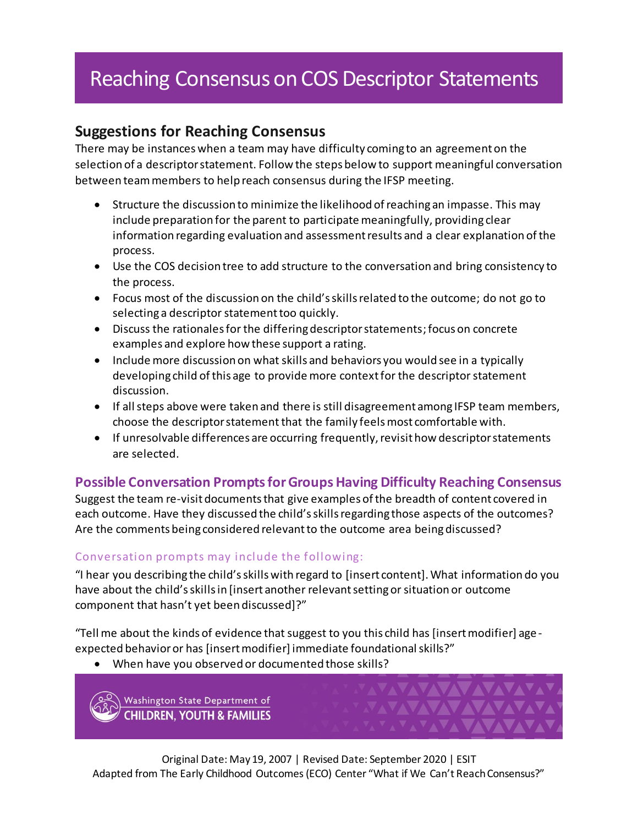## Reaching Consensus on COS Descriptor Statements

## **Suggestions for Reaching Consensus**

There may be instances when a team may have difficulty coming to an agreement on the selection of a descriptor statement. Follow the steps below to support meaningful conversation between team members to help reach consensus during the IFSP meeting.

- Structure the discussion to minimize the likelihood of reaching an impasse. This may include preparation for the parent to participate meaningfully, providing clear information regarding evaluation and assessment results and a clear explanation of the process.
- Use the COS decision tree to add structure to the conversation and bring consistency to the process.
- Focus most of the discussion on the child's skills related to the outcome; do not go to selecting a descriptor statement too quickly.
- Discuss the rationales for the differing descriptor statements; focus on concrete examples and explore how these support a rating.
- Include more discussion on what skills and behaviors you would see in a typically developing child of this age to provide more context for the descriptor statement discussion.
- If all steps above were taken and there is still disagreement among IFSP team members, choose the descriptor statement that the family feels most comfortable with.
- If unresolvable differences are occurring frequently, revisit how descriptor statements are selected.

## **Possible Conversation Prompts for Groups Having Difficulty Reaching Consensus**

Suggest the team re-visit documents that give examples of the breadth of content covered in each outcome. Have they discussed the child's skills regarding those aspects of the outcomes? Are the comments being considered relevant to the outcome area being discussed?

## Conversation prompts may include the following:

"I hear you describing the child's skills with regard to [insert content]. What information do you have about the child's skills in [insert another relevant setting or situation or outcome component that hasn't yet been discussed]?"

"Tell me about the kinds of evidence that suggest to you this child has [insert modifier] age expected behavior or has [insert modifier] immediate foundational skills?"

When have you observed or documented those skills?

Washington State Department of **CHILDREN, YOUTH & FAMILIES**